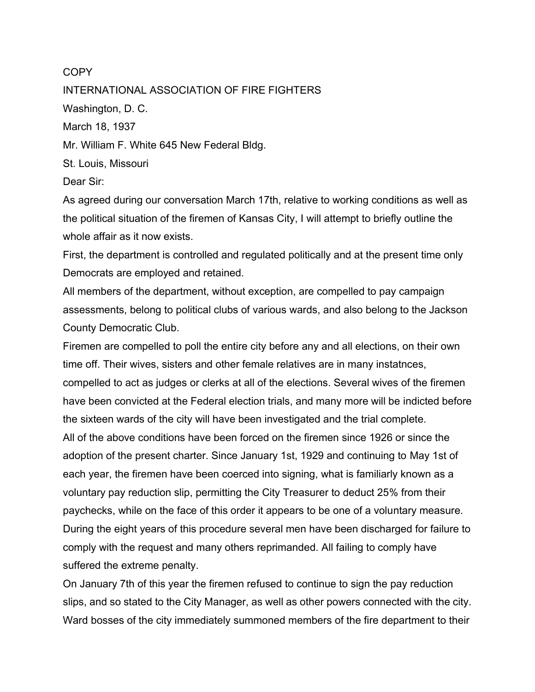## **COPY**

INTERNATIONAL ASSOCIATION OF FIRE FIGHTERS Washington, D. C. March 18, 1937 Mr. William F. White 645 New Federal Bldg. St. Louis, Missouri Dear Sir:

As agreed during our conversation March 17th, relative to working conditions as well as the political situation of the firemen of Kansas City, I will attempt to briefly outline the whole affair as it now exists.

First, the department is controlled and regulated politically and at the present time only Democrats are employed and retained.

All members of the department, without exception, are compelled to pay campaign assessments, belong to political clubs of various wards, and also belong to the Jackson County Democratic Club.

Firemen are compelled to poll the entire city before any and all elections, on their own time off. Their wives, sisters and other female relatives are in many instatnces, compelled to act as judges or clerks at all of the elections. Several wives of the firemen have been convicted at the Federal election trials, and many more will be indicted before the sixteen wards of the city will have been investigated and the trial complete. All of the above conditions have been forced on the firemen since 1926 or since the adoption of the present charter. Since January 1st, 1929 and continuing to May 1st of each year, the firemen have been coerced into signing, what is familiarly known as a voluntary pay reduction slip, permitting the City Treasurer to deduct 25% from their paychecks, while on the face of this order it appears to be one of a voluntary measure. During the eight years of this procedure several men have been discharged for failure to comply with the request and many others reprimanded. All failing to comply have suffered the extreme penalty.

On January 7th of this year the firemen refused to continue to sign the pay reduction slips, and so stated to the City Manager, as well as other powers connected with the city. Ward bosses of the city immediately summoned members of the fire department to their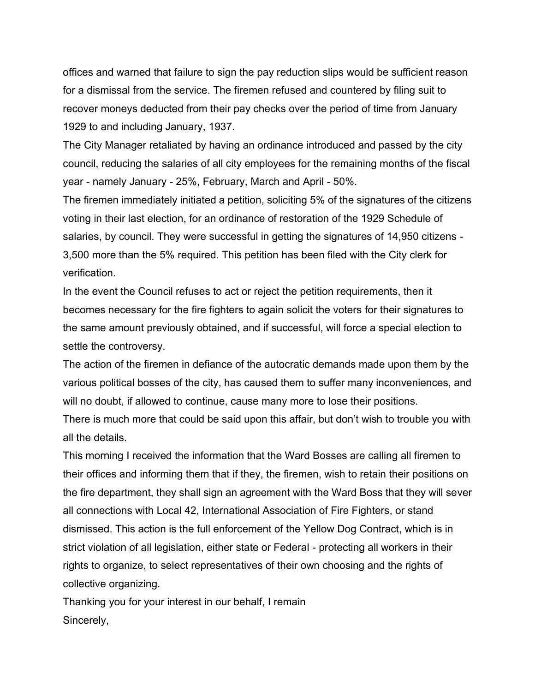offices and warned that failure to sign the pay reduction slips would be sufficient reason for a dismissal from the service. The firemen refused and countered by filing suit to recover moneys deducted from their pay checks over the period of time from January 1929 to and including January, 1937.

The City Manager retaliated by having an ordinance introduced and passed by the city council, reducing the salaries of all city employees for the remaining months of the fiscal year - namely January - 25%, February, March and April - 50%.

The firemen immediately initiated a petition, soliciting 5% of the signatures of the citizens voting in their last election, for an ordinance of restoration of the 1929 Schedule of salaries, by council. They were successful in getting the signatures of 14,950 citizens - 3,500 more than the 5% required. This petition has been filed with the City clerk for verification.

In the event the Council refuses to act or reject the petition requirements, then it becomes necessary for the fire fighters to again solicit the voters for their signatures to the same amount previously obtained, and if successful, will force a special election to settle the controversy.

The action of the firemen in defiance of the autocratic demands made upon them by the various political bosses of the city, has caused them to suffer many inconveniences, and will no doubt, if allowed to continue, cause many more to lose their positions. There is much more that could be said upon this affair, but don't wish to trouble you with all the details.

This morning I received the information that the Ward Bosses are calling all firemen to their offices and informing them that if they, the firemen, wish to retain their positions on the fire department, they shall sign an agreement with the Ward Boss that they will sever all connections with Local 42, International Association of Fire Fighters, or stand dismissed. This action is the full enforcement of the Yellow Dog Contract, which is in strict violation of all legislation, either state or Federal - protecting all workers in their rights to organize, to select representatives of their own choosing and the rights of collective organizing.

Thanking you for your interest in our behalf, I remain Sincerely,